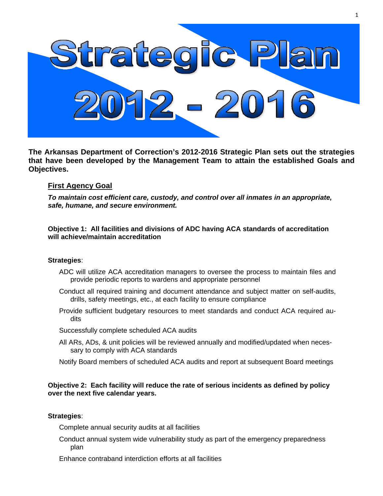

**The Arkansas Department of Correction's 2012-2016 Strategic Plan sets out the strategies that have been developed by the Management Team to attain the established Goals and Objectives.** 

# **First Agency Goal**

*To maintain cost efficient care, custody, and control over all inmates in an appropriate, safe, humane, and secure environment.* 

**Objective 1: All facilities and divisions of ADC having ACA standards of accreditation will achieve/maintain accreditation** 

## **Strategies**:

- ADC will utilize ACA accreditation managers to oversee the process to maintain files and provide periodic reports to wardens and appropriate personnel
- Conduct all required training and document attendance and subject matter on self-audits, drills, safety meetings, etc., at each facility to ensure compliance
- Provide sufficient budgetary resources to meet standards and conduct ACA required audits
- Successfully complete scheduled ACA audits
- All ARs, ADs, & unit policies will be reviewed annually and modified/updated when necessary to comply with ACA standards
- Notify Board members of scheduled ACA audits and report at subsequent Board meetings

# **Objective 2: Each facility will reduce the rate of serious incidents as defined by policy over the next five calendar years.**

## **Strategies**:

Complete annual security audits at all facilities

- Conduct annual system wide vulnerability study as part of the emergency preparedness plan
- Enhance contraband interdiction efforts at all facilities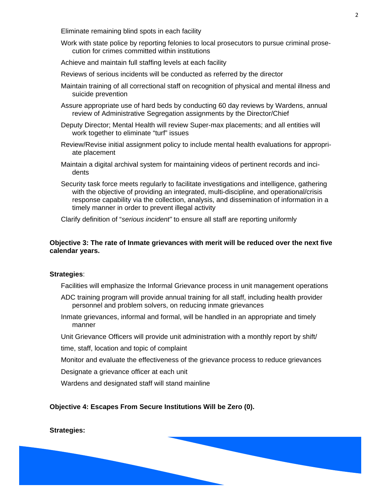Eliminate remaining blind spots in each facility

- Work with state police by reporting felonies to local prosecutors to pursue criminal prosecution for crimes committed within institutions
- Achieve and maintain full staffing levels at each facility
- Reviews of serious incidents will be conducted as referred by the director
- Maintain training of all correctional staff on recognition of physical and mental illness and suicide prevention
- Assure appropriate use of hard beds by conducting 60 day reviews by Wardens, annual review of Administrative Segregation assignments by the Director/Chief
- Deputy Director; Mental Health will review Super-max placements; and all entities will work together to eliminate "turf" issues
- Review/Revise initial assignment policy to include mental health evaluations for appropriate placement
- Maintain a digital archival system for maintaining videos of pertinent records and incidents
- Security task force meets regularly to facilitate investigations and intelligence, gathering with the objective of providing an integrated, multi-discipline, and operational/crisis response capability via the collection, analysis, and dissemination of information in a timely manner in order to prevent illegal activity

Clarify definition of "*serious incident"* to ensure all staff are reporting uniformly

## **Objective 3: The rate of Inmate grievances with merit will be reduced over the next five calendar years.**

#### **Strategies**:

Facilities will emphasize the Informal Grievance process in unit management operations

- ADC training program will provide annual training for all staff, including health provider personnel and problem solvers, on reducing inmate grievances
- Inmate grievances, informal and formal, will be handled in an appropriate and timely manner
- Unit Grievance Officers will provide unit administration with a monthly report by shift/
- time, staff, location and topic of complaint
- Monitor and evaluate the effectiveness of the grievance process to reduce grievances

Designate a grievance officer at each unit

Wardens and designated staff will stand mainline

# **Objective 4: Escapes From Secure Institutions Will be Zero (0).**

# **Strategies:**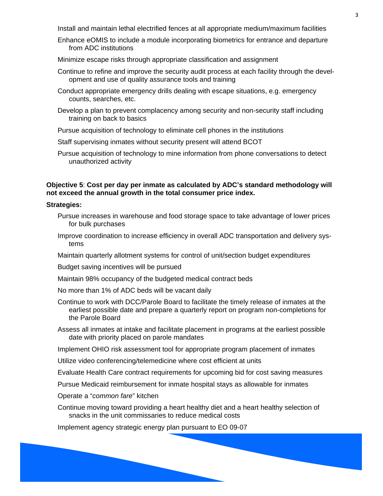Install and maintain lethal electrified fences at all appropriate medium/maximum facilities

- Enhance eOMIS to include a module incorporating biometrics for entrance and departure from ADC institutions
- Minimize escape risks through appropriate classification and assignment
- Continue to refine and improve the security audit process at each facility through the development and use of quality assurance tools and training
- Conduct appropriate emergency drills dealing with escape situations, e.g. emergency counts, searches, etc.
- Develop a plan to prevent complacency among security and non-security staff including training on back to basics
- Pursue acquisition of technology to eliminate cell phones in the institutions
- Staff supervising inmates without security present will attend BCOT
- Pursue acquisition of technology to mine information from phone conversations to detect unauthorized activity

## **Objective 5**: **Cost per day per inmate as calculated by ADC's standard methodology will not exceed the annual growth in the total consumer price index.**

#### **Strategies:**

- Pursue increases in warehouse and food storage space to take advantage of lower prices for bulk purchases
- Improve coordination to increase efficiency in overall ADC transportation and delivery systems
- Maintain quarterly allotment systems for control of unit/section budget expenditures
- Budget saving incentives will be pursued
- Maintain 98% occupancy of the budgeted medical contract beds
- No more than 1% of ADC beds will be vacant daily
- Continue to work with DCC/Parole Board to facilitate the timely release of inmates at the earliest possible date and prepare a quarterly report on program non-completions for the Parole Board
- Assess all inmates at intake and facilitate placement in programs at the earliest possible date with priority placed on parole mandates
- Implement OHIO risk assessment tool for appropriate program placement of inmates
- Utilize video conferencing/telemedicine where cost efficient at units
- Evaluate Health Care contract requirements for upcoming bid for cost saving measures
- Pursue Medicaid reimbursement for inmate hospital stays as allowable for inmates

Operate a "*common fare*" kitchen

Continue moving toward providing a heart healthy diet and a heart healthy selection of snacks in the unit commissaries to reduce medical costs

Implement agency strategic energy plan pursuant to EO 09-07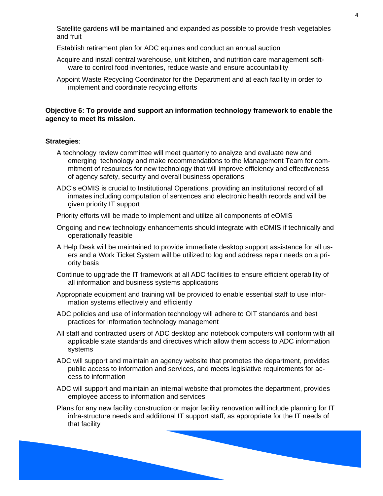Satellite gardens will be maintained and expanded as possible to provide fresh vegetables and fruit

Establish retirement plan for ADC equines and conduct an annual auction

- Acquire and install central warehouse, unit kitchen, and nutrition care management software to control food inventories, reduce waste and ensure accountability
- Appoint Waste Recycling Coordinator for the Department and at each facility in order to implement and coordinate recycling efforts

# **Objective 6: To provide and support an information technology framework to enable the agency to meet its mission.**

## **Strategies**:

- A technology review committee will meet quarterly to analyze and evaluate new and emerging technology and make recommendations to the Management Team for commitment of resources for new technology that will improve efficiency and effectiveness of agency safety, security and overall business operations
- ADC's eOMIS is crucial to Institutional Operations, providing an institutional record of all inmates including computation of sentences and electronic health records and will be given priority IT support

Priority efforts will be made to implement and utilize all components of eOMIS

- Ongoing and new technology enhancements should integrate with eOMIS if technically and operationally feasible
- A Help Desk will be maintained to provide immediate desktop support assistance for all users and a Work Ticket System will be utilized to log and address repair needs on a priority basis
- Continue to upgrade the IT framework at all ADC facilities to ensure efficient operability of all information and business systems applications
- Appropriate equipment and training will be provided to enable essential staff to use information systems effectively and efficiently
- ADC policies and use of information technology will adhere to OIT standards and best practices for information technology management
- All staff and contracted users of ADC desktop and notebook computers will conform with all applicable state standards and directives which allow them access to ADC information systems
- ADC will support and maintain an agency website that promotes the department, provides public access to information and services, and meets legislative requirements for access to information
- ADC will support and maintain an internal website that promotes the department, provides employee access to information and services
- Plans for any new facility construction or major facility renovation will include planning for IT infra-structure needs and additional IT support staff, as appropriate for the IT needs of that facility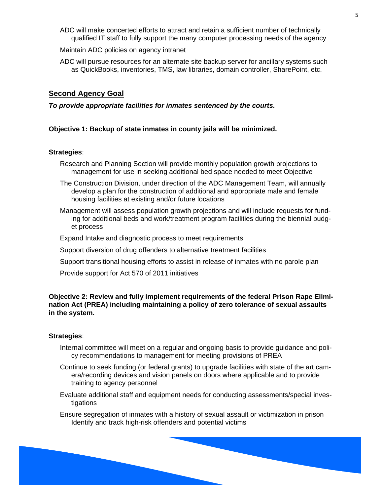ADC will make concerted efforts to attract and retain a sufficient number of technically qualified IT staff to fully support the many computer processing needs of the agency

Maintain ADC policies on agency intranet

ADC will pursue resources for an alternate site backup server for ancillary systems such as QuickBooks, inventories, TMS, law libraries, domain controller, SharePoint, etc.

## **Second Agency Goal**

*To provide appropriate facilities for inmates sentenced by the courts.* 

#### **Objective 1: Backup of state inmates in county jails will be minimized.**

#### **Strategies**:

- Research and Planning Section will provide monthly population growth projections to management for use in seeking additional bed space needed to meet Objective
- The Construction Division, under direction of the ADC Management Team, will annually develop a plan for the construction of additional and appropriate male and female housing facilities at existing and/or future locations
- Management will assess population growth projections and will include requests for funding for additional beds and work/treatment program facilities during the biennial budget process
- Expand Intake and diagnostic process to meet requirements
- Support diversion of drug offenders to alternative treatment facilities
- Support transitional housing efforts to assist in release of inmates with no parole plan
- Provide support for Act 570 of 2011 initiatives

# **Objective 2: Review and fully implement requirements of the federal Prison Rape Elimination Act (PREA) including maintaining a policy of zero tolerance of sexual assaults in the system.**

#### **Strategies**:

- Internal committee will meet on a regular and ongoing basis to provide guidance and policy recommendations to management for meeting provisions of PREA
- Continue to seek funding (or federal grants) to upgrade facilities with state of the art camera/recording devices and vision panels on doors where applicable and to provide training to agency personnel
- Evaluate additional staff and equipment needs for conducting assessments/special investigations
- Ensure segregation of inmates with a history of sexual assault or victimization in prison Identify and track high-risk offenders and potential victims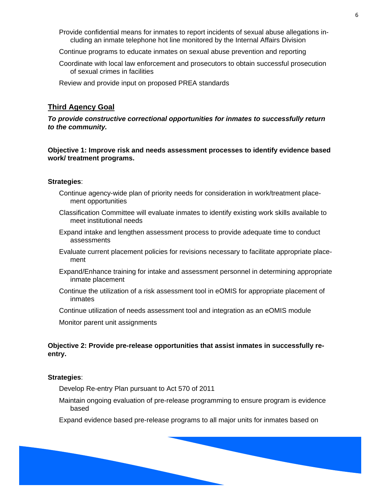- Provide confidential means for inmates to report incidents of sexual abuse allegations including an inmate telephone hot line monitored by the Internal Affairs Division
- Continue programs to educate inmates on sexual abuse prevention and reporting
- Coordinate with local law enforcement and prosecutors to obtain successful prosecution of sexual crimes in facilities

Review and provide input on proposed PREA standards

# **Third Agency Goal**

*To provide constructive correctional opportunities for inmates to successfully return to the community.* 

**Objective 1: Improve risk and needs assessment processes to identify evidence based work/ treatment programs.** 

## **Strategies**:

- Continue agency-wide plan of priority needs for consideration in work/treatment placement opportunities
- Classification Committee will evaluate inmates to identify existing work skills available to meet institutional needs
- Expand intake and lengthen assessment process to provide adequate time to conduct assessments
- Evaluate current placement policies for revisions necessary to facilitate appropriate placement
- Expand/Enhance training for intake and assessment personnel in determining appropriate inmate placement
- Continue the utilization of a risk assessment tool in eOMIS for appropriate placement of inmates
- Continue utilization of needs assessment tool and integration as an eOMIS module

Monitor parent unit assignments

# **Objective 2: Provide pre-release opportunities that assist inmates in successfully reentry.**

#### **Strategies**:

Develop Re-entry Plan pursuant to Act 570 of 2011

Maintain ongoing evaluation of pre-release programming to ensure program is evidence based

Expand evidence based pre-release programs to all major units for inmates based on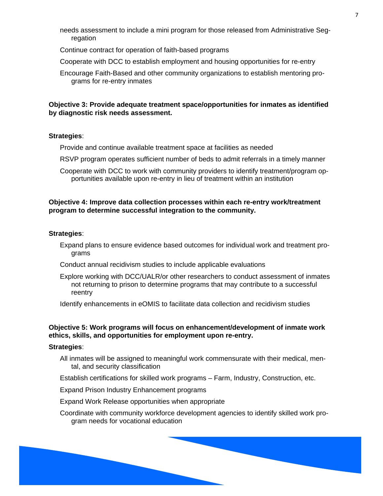- needs assessment to include a mini program for those released from Administrative Segregation
- Continue contract for operation of faith-based programs
- Cooperate with DCC to establish employment and housing opportunities for re-entry
- Encourage Faith-Based and other community organizations to establish mentoring programs for re-entry inmates

## **Objective 3: Provide adequate treatment space/opportunities for inmates as identified by diagnostic risk needs assessment.**

#### **Strategies**:

Provide and continue available treatment space at facilities as needed

- RSVP program operates sufficient number of beds to admit referrals in a timely manner
- Cooperate with DCC to work with community providers to identify treatment/program opportunities available upon re-entry in lieu of treatment within an institution

### **Objective 4: Improve data collection processes within each re-entry work/treatment program to determine successful integration to the community.**

## **Strategies**:

- Expand plans to ensure evidence based outcomes for individual work and treatment programs
- Conduct annual recidivism studies to include applicable evaluations
- Explore working with DCC/UALR/or other researchers to conduct assessment of inmates not returning to prison to determine programs that may contribute to a successful reentry

Identify enhancements in eOMIS to facilitate data collection and recidivism studies

# **Objective 5: Work programs will focus on enhancement/development of inmate work ethics, skills, and opportunities for employment upon re-entry.**

#### **Strategies**:

- All inmates will be assigned to meaningful work commensurate with their medical, mental, and security classification
- Establish certifications for skilled work programs Farm, Industry, Construction, etc.

Expand Prison Industry Enhancement programs

Expand Work Release opportunities when appropriate

Coordinate with community workforce development agencies to identify skilled work program needs for vocational education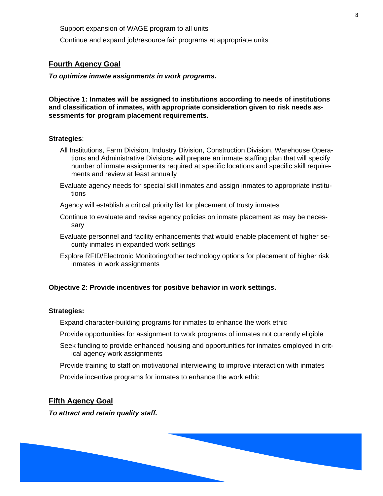Support expansion of WAGE program to all units

Continue and expand job/resource fair programs at appropriate units

## **Fourth Agency Goal**

*To optimize inmate assignments in work programs.* 

**Objective 1: Inmates will be assigned to institutions according to needs of institutions and classification of inmates, with appropriate consideration given to risk needs assessments for program placement requirements.** 

#### **Strategies**:

- All Institutions, Farm Division, Industry Division, Construction Division, Warehouse Operations and Administrative Divisions will prepare an inmate staffing plan that will specify number of inmate assignments required at specific locations and specific skill requirements and review at least annually
- Evaluate agency needs for special skill inmates and assign inmates to appropriate institutions
- Agency will establish a critical priority list for placement of trusty inmates
- Continue to evaluate and revise agency policies on inmate placement as may be necessary
- Evaluate personnel and facility enhancements that would enable placement of higher security inmates in expanded work settings
- Explore RFID/Electronic Monitoring/other technology options for placement of higher risk inmates in work assignments

#### **Objective 2: Provide incentives for positive behavior in work settings.**

#### **Strategies:**

- Expand character-building programs for inmates to enhance the work ethic
- Provide opportunities for assignment to work programs of inmates not currently eligible
- Seek funding to provide enhanced housing and opportunities for inmates employed in critical agency work assignments
- Provide training to staff on motivational interviewing to improve interaction with inmates
- Provide incentive programs for inmates to enhance the work ethic

# **Fifth Agency Goal**

*To attract and retain quality staff.* 

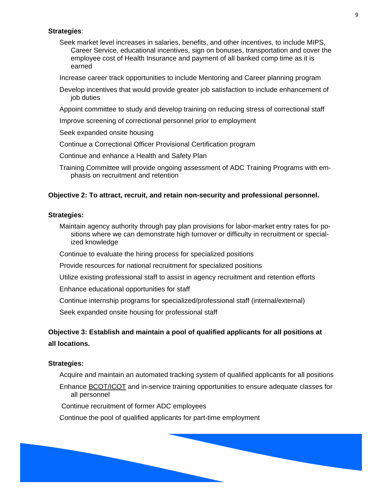## **Strategies**:

Seek market level increases in salaries, benefits, and other incentives, to include MIPS, Career Service, educational incentives, sign on bonuses, transportation and cover the employee cost of Health Insurance and payment of all banked comp time as it is earned

Increase career track opportunities to include Mentoring and Career planning program

Develop incentives that would provide greater job satisfaction to include enhancement of job duties

Appoint committee to study and develop training on reducing stress of correctional staff

Improve screening of correctional personnel prior to employment

Seek expanded onsite housing

Continue a Correctional Officer Provisional Certification program

Continue and enhance a Health and Safety Plan

Training Committee will provide ongoing assessment of ADC Training Programs with emphasis on recruitment and retention

## **Objective 2: To attract, recruit, and retain non-security and professional personnel.**

#### **Strategies:**

Maintain agency authority through pay plan provisions for labor-market entry rates for positions where we can demonstrate high turnover or difficulty in recruitment or specialized knowledge

Continue to evaluate the hiring process for specialized positions

Provide resources for national recruitment for specialized positions

Utilize existing professional staff to assist in agency recruitment and retention efforts

Enhance educational opportunities for staff

Continue internship programs for specialized/professional staff (internal/external)

Seek expanded onsite housing for professional staff

# **Objective 3: Establish and maintain a pool of qualified applicants for all positions at all locations.**

#### **Strategies:**

Acquire and maintain an automated tracking system of qualified applicants for all positions

Enhance BCOT/ICOT and in-service training opportunities to ensure adequate classes for all personnel

Continue recruitment of former ADC employees

Continue the pool of qualified applicants for part-time employment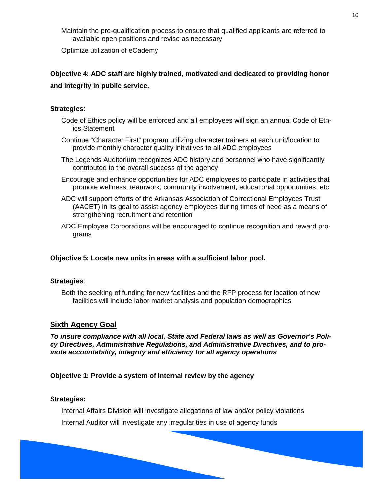Maintain the pre-qualification process to ensure that qualified applicants are referred to available open positions and revise as necessary

Optimize utilization of eCademy

# **Objective 4: ADC staff are highly trained, motivated and dedicated to providing honor and integrity in public service.**

# **Strategies**:

- Code of Ethics policy will be enforced and all employees will sign an annual Code of Ethics Statement
- Continue "Character First" program utilizing character trainers at each unit/location to provide monthly character quality initiatives to all ADC employees
- The Legends Auditorium recognizes ADC history and personnel who have significantly contributed to the overall success of the agency
- Encourage and enhance opportunities for ADC employees to participate in activities that promote wellness, teamwork, community involvement, educational opportunities, etc.
- ADC will support efforts of the Arkansas Association of Correctional Employees Trust (AACET) in its goal to assist agency employees during times of need as a means of strengthening recruitment and retention
- ADC Employee Corporations will be encouraged to continue recognition and reward programs

# **Objective 5: Locate new units in areas with a sufficient labor pool.**

# **Strategies**:

Both the seeking of funding for new facilities and the RFP process for location of new facilities will include labor market analysis and population demographics

# **Sixth Agency Goal**

*To insure compliance with all local, State and Federal laws as well as Governor's Policy Directives, Administrative Regulations, and Administrative Directives, and to promote accountability, integrity and efficiency for all agency operations* 

**Objective 1: Provide a system of internal review by the agency** 

## **Strategies:**

Internal Affairs Division will investigate allegations of law and/or policy violations Internal Auditor will investigate any irregularities in use of agency funds